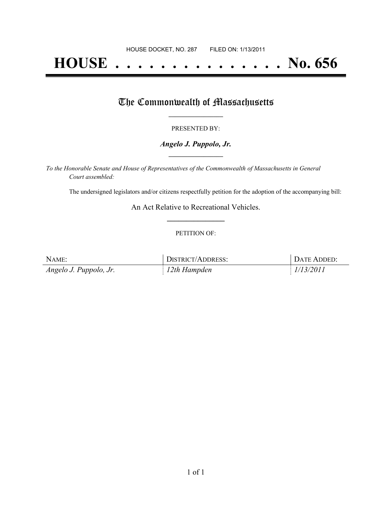# **HOUSE . . . . . . . . . . . . . . . No. 656**

## The Commonwealth of Massachusetts

#### PRESENTED BY:

#### *Angelo J. Puppolo, Jr.* **\_\_\_\_\_\_\_\_\_\_\_\_\_\_\_\_\_**

*To the Honorable Senate and House of Representatives of the Commonwealth of Massachusetts in General Court assembled:*

The undersigned legislators and/or citizens respectfully petition for the adoption of the accompanying bill:

An Act Relative to Recreational Vehicles. **\_\_\_\_\_\_\_\_\_\_\_\_\_\_\_**

#### PETITION OF:

| NAME:                  | DISTRICT/ADDRESS: | DATE ADDED: |
|------------------------|-------------------|-------------|
| Angelo J. Puppolo, Jr. | $12th$ Hampden    | 1/13/2011   |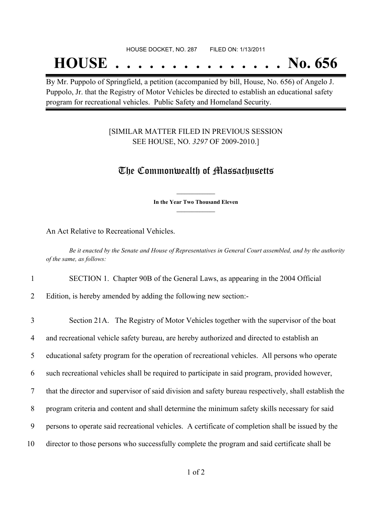#### HOUSE DOCKET, NO. 287 FILED ON: 1/13/2011

## **HOUSE . . . . . . . . . . . . . . . No. 656**

By Mr. Puppolo of Springfield, a petition (accompanied by bill, House, No. 656) of Angelo J. Puppolo, Jr. that the Registry of Motor Vehicles be directed to establish an educational safety program for recreational vehicles. Public Safety and Homeland Security.

#### [SIMILAR MATTER FILED IN PREVIOUS SESSION SEE HOUSE, NO. *3297* OF 2009-2010.]

### The Commonwealth of Massachusetts

**\_\_\_\_\_\_\_\_\_\_\_\_\_\_\_ In the Year Two Thousand Eleven \_\_\_\_\_\_\_\_\_\_\_\_\_\_\_**

An Act Relative to Recreational Vehicles.

Be it enacted by the Senate and House of Representatives in General Court assembled, and by the authority *of the same, as follows:*

1 SECTION 1. Chapter 90B of the General Laws, as appearing in the 2004 Official

2 Edition, is hereby amended by adding the following new section:-

| 3  | Section 21A. The Registry of Motor Vehicles together with the supervisor of the boat                  |
|----|-------------------------------------------------------------------------------------------------------|
| 4  | and recreational vehicle safety bureau, are hereby authorized and directed to establish an            |
| 5  | educational safety program for the operation of recreational vehicles. All persons who operate        |
| 6  | such recreational vehicles shall be required to participate in said program, provided however,        |
| 7  | that the director and supervisor of said division and safety bureau respectively, shall establish the |
| 8  | program criteria and content and shall determine the minimum safety skills necessary for said         |
| 9  | persons to operate said recreational vehicles. A certificate of completion shall be issued by the     |
| 10 | director to those persons who successfully complete the program and said certificate shall be         |